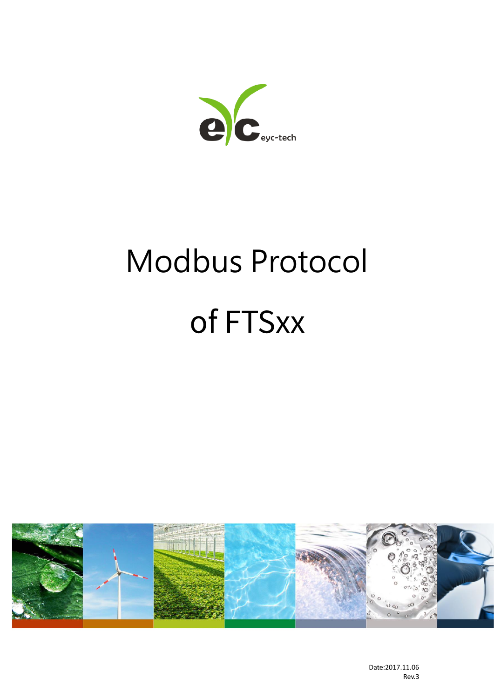$\overline{\mathbf{C}}$ eyc-tech

# Modbus Protocolof FTSxx



Date:2017.11.06 Rev.3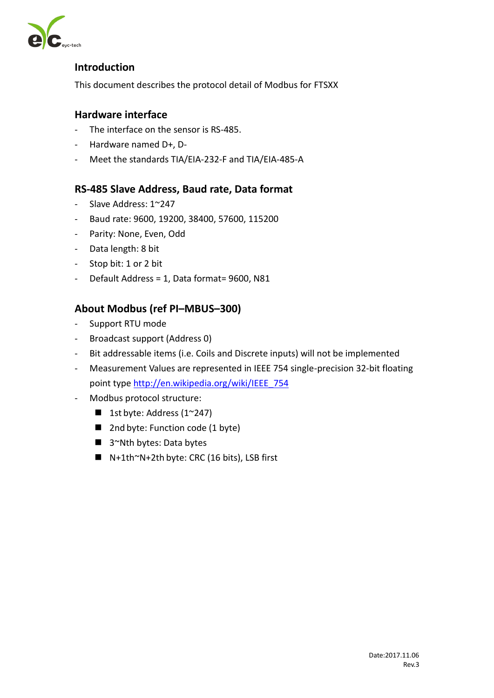

#### **Introduction**

This document describes the protocol detail of Modbus for FTSXX

#### **Hardware interface**

- The interface on the sensor is RS-485.
- Hardware named D+, D-
- Meet the standards TIA/EIA-232-F and TIA/EIA-485-A

#### **RS-485 Slave Address, Baud rate, Data format**

- Slave Address: 1~247
- Baud rate: 9600, 19200, 38400, 57600, 115200
- Parity: None, Even, Odd
- Data length: 8 bit
- Stop bit: 1 or 2 bit
- Default Address = 1, Data format= 9600, N81

#### **About Modbus (ref PI–MBUS–300)**

- Support RTU mode
- Broadcast support (Address 0)
- Bit addressable items (i.e. Coils and Discrete inputs) will not be implemented
- Measurement Values are represented in IEEE 754 single-precision 32-bit floating point typ[e http://en.wikipedia.org/wiki/IEEE\\_754](http://en.wikipedia.org/wiki/IEEE_754)
- Modbus protocol structure:
	- **1st byte: Address (1~247)**
	- 2nd byte: Function code (1 byte)
	- 3~Nth bytes: Data bytes
	- $N+1$ th~N+2th byte: CRC (16 bits), LSB first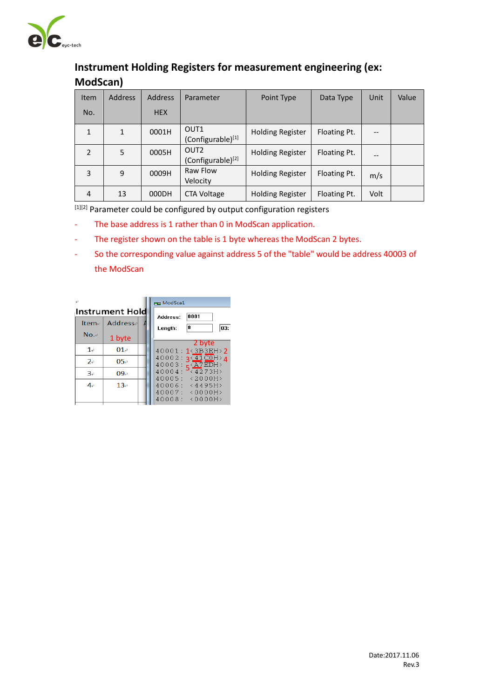

# **Instrument Holding Registers for measurement engineering (ex: ModScan)**

| <b>Item</b>    | <b>Address</b> | <b>Address</b> | Parameter                                         | Point Type              | Data Type    | Unit                     | Value |
|----------------|----------------|----------------|---------------------------------------------------|-------------------------|--------------|--------------------------|-------|
| No.            |                | <b>HEX</b>     |                                                   |                         |              |                          |       |
| $\mathbf{1}$   | 1              | 0001H          | OUT <sub>1</sub><br>(Configurable)[1]             | <b>Holding Register</b> | Floating Pt. | $\overline{\phantom{a}}$ |       |
| $\overline{2}$ | 5              | 0005H          | OUT <sub>2</sub><br>(Configurable) <sup>[2]</sup> | <b>Holding Register</b> | Floating Pt. | $-$                      |       |
| 3              | 9              | 0009H          | Raw Flow<br>Velocity                              | <b>Holding Register</b> | Floating Pt. | m/s                      |       |
| 4              | 13             | 000DH          | <b>CTA Voltage</b>                                | <b>Holding Register</b> | Floating Pt. | Volt                     |       |

[1][2] Parameter could be configured by output configuration registers

- The base address is 1 rather than 0 in ModScan application.
- The register shown on the table is 1 byte whereas the ModScan 2 bytes.
- So the corresponding value against address 5 of the "table" would be address 40003 of the ModScan

|           |                        | <b>Ham</b> ModSca1                                                                              |
|-----------|------------------------|-------------------------------------------------------------------------------------------------|
|           | <b>Instrument Hold</b> | 0001<br>Address:                                                                                |
| Item-     | <b>Address</b>         | 8<br>03:<br>Length:                                                                             |
| $No. \in$ | 1 byte                 | 2 byte                                                                                          |
| 1e        | 01e                    | 40001: 1<3B3EH>2                                                                                |
| 2e        | 05e                    | 40002:<br>$\sqrt{41}$ COH $\sqrt{4}$<br>40003:                                                  |
| 3e        | 09e                    | $5\frac{\angle A7EDH}{\angle 4273H}$<br>40004:                                                  |
| $4\circ$  | $13\sigma$             | 40005:<br>< 2000 H<br>40006:<br><4495H<br>40007:<br>$\langle 0000H \rangle$<br>40008:<br><0000H |
|           |                        |                                                                                                 |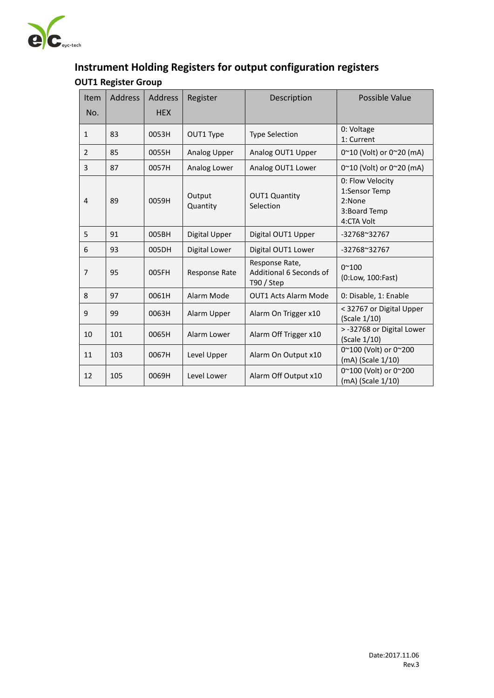

# **Instrument Holding Registers for output configuration registers OUT1 Register Group**

| <b>Item</b>    | <b>Address</b> | <b>Address</b> | Register           | Description                                               | Possible Value                                                            |
|----------------|----------------|----------------|--------------------|-----------------------------------------------------------|---------------------------------------------------------------------------|
| No.            |                | <b>HEX</b>     |                    |                                                           |                                                                           |
| $\mathbf{1}$   | 83             | 0053H          | OUT1 Type          | <b>Type Selection</b>                                     | 0: Voltage<br>1: Current                                                  |
| $\overline{2}$ | 85             | 0055H          | Analog Upper       | Analog OUT1 Upper                                         | 0~10 (Volt) or 0~20 (mA)                                                  |
| 3              | 87             | 0057H          | Analog Lower       | Analog OUT1 Lower                                         | 0~10 (Volt) or 0~20 (mA)                                                  |
| 4              | 89             | 0059H          | Output<br>Quantity | <b>OUT1 Quantity</b><br>Selection                         | 0: Flow Velocity<br>1:Sensor Temp<br>2:None<br>3:Board Temp<br>4:CTA Volt |
| 5              | 91             | 005BH          | Digital Upper      | Digital OUT1 Upper                                        | $-32768^{\circ}32767$                                                     |
| 6              | 93             | 005DH          | Digital Lower      | Digital OUT1 Lower                                        | -32768~32767                                                              |
| $\overline{7}$ | 95             | 005FH          | Response Rate      | Response Rate,<br>Additional 6 Seconds of<br>$T90 /$ Step | $0^{\sim}100$<br>(0:Low, 100:Fast)                                        |
| 8              | 97             | 0061H          | Alarm Mode         | <b>OUT1 Acts Alarm Mode</b>                               | 0: Disable, 1: Enable                                                     |
| 9              | 99             | 0063H          | Alarm Upper        | Alarm On Trigger x10                                      | < 32767 or Digital Upper<br>(Scale 1/10)                                  |
| 10             | 101            | 0065H          | Alarm Lower        | Alarm Off Trigger x10                                     | > -32768 or Digital Lower<br>(Scale 1/10)                                 |
| 11             | 103            | 0067H          | Level Upper        | Alarm On Output x10                                       | 0~100 (Volt) or 0~200<br>(mA) (Scale 1/10)                                |
| 12             | 105            | 0069H          | Level Lower        | Alarm Off Output x10                                      | 0~100 (Volt) or 0~200<br>(mA) (Scale 1/10)                                |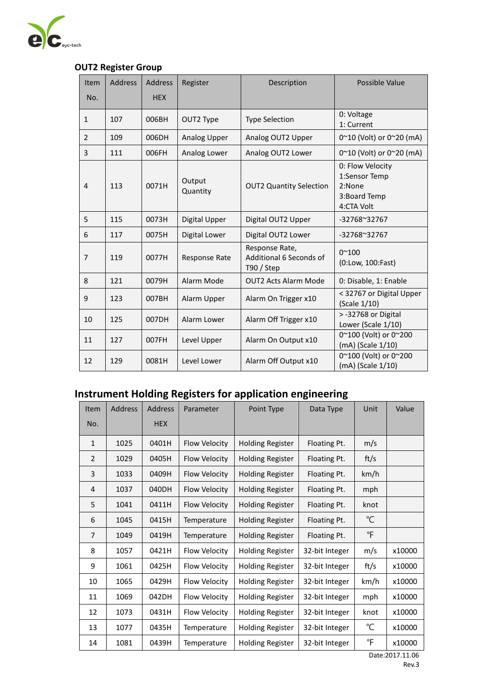

### **OUT2 Register Group**

| Item<br>No.    | <b>Address</b> | <b>Address</b><br><b>HEX</b> | Register            | Description                                              | Possible Value                                                            |
|----------------|----------------|------------------------------|---------------------|----------------------------------------------------------|---------------------------------------------------------------------------|
|                |                |                              |                     |                                                          |                                                                           |
| $\mathbf{1}$   | 107            | 006BH                        | OUT2 Type           | <b>Type Selection</b>                                    | 0: Voltage<br>1: Current                                                  |
| $\overline{2}$ | 109            | 006DH                        | <b>Analog Upper</b> | Analog OUT2 Upper                                        | 0~10 (Volt) or 0~20 (mA)                                                  |
| 3              | 111            | 006FH                        | Analog Lower        | Analog OUT2 Lower                                        | 0~10 (Volt) or 0~20 (mA)                                                  |
| 4              | 113            | 0071H                        | Output<br>Quantity  | <b>OUT2 Quantity Selection</b>                           | 0: Flow Velocity<br>1:Sensor Temp<br>2:None<br>3:Board Temp<br>4:CTA Volt |
| 5              | 115            | 0073H                        | Digital Upper       | Digital OUT2 Upper                                       | -32768~32767                                                              |
| 6              | 117            | 0075H                        | Digital Lower       | Digital OUT2 Lower                                       | $-32768^{\circ}32767$                                                     |
| $\overline{7}$ | 119            | 0077H                        | Response Rate       | Response Rate,<br>Additional 6 Seconds of<br>$T90/$ Step | $0^{\sim}100$<br>(0:Low, 100:Fast)                                        |
| 8              | 121            | 0079H                        | Alarm Mode          | <b>OUT2 Acts Alarm Mode</b>                              | 0: Disable, 1: Enable                                                     |
| 9              | 123            | 007BH                        | Alarm Upper         | Alarm On Trigger x10                                     | < 32767 or Digital Upper<br>(Scale 1/10)                                  |
| 10             | 125            | 007DH                        | Alarm Lower         | Alarm Off Trigger x10                                    | > -32768 or Digital<br>Lower (Scale 1/10)                                 |
| 11             | 127            | 007FH                        | Level Upper         | Alarm On Output x10                                      | 0~100 (Volt) or 0~200<br>(mA) (Scale 1/10)                                |
| 12             | 129            | 0081H                        | Level Lower         | Alarm Off Output x10                                     | 0~100 (Volt) or 0~200<br>(mA) (Scale 1/10)                                |

# **Instrument Holding Registers for application engineering**

| <b>Item</b>    | Address | <b>Address</b> | Parameter     | Point Type              | Data Type      | Unit           | Value  |
|----------------|---------|----------------|---------------|-------------------------|----------------|----------------|--------|
| No.            |         | <b>HEX</b>     |               |                         |                |                |        |
| $\mathbf{1}$   | 1025    | 0401H          | Flow Velocity | <b>Holding Register</b> | Floating Pt.   | m/s            |        |
| $\overline{2}$ | 1029    | 0405H          | Flow Velocity | <b>Holding Register</b> | Floating Pt.   | ft/s           |        |
| 3              | 1033    | 0409H          | Flow Velocity | <b>Holding Register</b> | Floating Pt.   | km/h           |        |
| 4              | 1037    | 040DH          | Flow Velocity | <b>Holding Register</b> | Floating Pt.   | mph            |        |
| 5              | 1041    | 0411H          | Flow Velocity | <b>Holding Register</b> | Floating Pt.   | knot           |        |
| 6              | 1045    | 0415H          | Temperature   | <b>Holding Register</b> | Floating Pt.   | °C             |        |
| 7              | 1049    | 0419H          | Temperature   | <b>Holding Register</b> | Floating Pt.   | $\overline{F}$ |        |
| 8              | 1057    | 0421H          | Flow Velocity | <b>Holding Register</b> | 32-bit Integer | m/s            | x10000 |
| 9              | 1061    | 0425H          | Flow Velocity | <b>Holding Register</b> | 32-bit Integer | ft/s           | x10000 |
| 10             | 1065    | 0429H          | Flow Velocity | <b>Holding Register</b> | 32-bit Integer | km/h           | x10000 |
| 11             | 1069    | 042DH          | Flow Velocity | <b>Holding Register</b> | 32-bit Integer | mph            | x10000 |
| 12             | 1073    | 0431H          | Flow Velocity | <b>Holding Register</b> | 32-bit Integer | knot           | x10000 |
| 13             | 1077    | 0435H          | Temperature   | <b>Holding Register</b> | 32-bit Integer | °C             | x10000 |
| 14             | 1081    | 0439H          | Temperature   | <b>Holding Register</b> | 32-bit Integer | °F             | x10000 |

Date:2017.11.06 Rev.3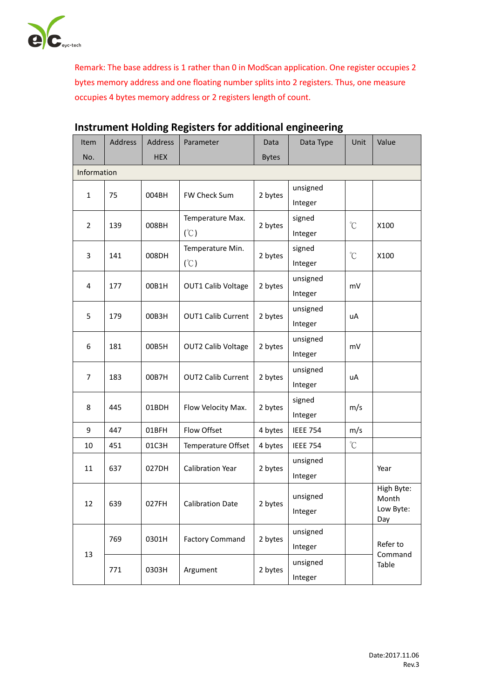

Remark: The base address is 1 rather than 0 in ModScan application. One register occupies 2 bytes memory address and one floating number splits into 2 registers. Thus, one measure occupies 4 bytes memory address or 2 registers length of count.

| Item           | Address | <b>Address</b> | Parameter                 | Data               | Data Type       | Unit         | Value               |  |
|----------------|---------|----------------|---------------------------|--------------------|-----------------|--------------|---------------------|--|
| No.            |         | <b>HEX</b>     |                           | <b>Bytes</b>       |                 |              |                     |  |
| Information    |         |                |                           |                    |                 |              |                     |  |
|                |         | 004BH          |                           |                    | unsigned        |              |                     |  |
| 1              | 75      |                | FW Check Sum              | 2 bytes            | Integer         |              |                     |  |
|                |         |                | Temperature Max.          |                    | signed          |              |                     |  |
| 2              | 139     | 008BH          | (C)                       | 2 bytes<br>Integer |                 | $\mathrm{C}$ | X100                |  |
|                |         |                | Temperature Min.          | signed             |                 | $\mathrm{C}$ |                     |  |
| 3              | 141     | 008DH          | (°C)                      | 2 bytes            | Integer         |              | X100                |  |
|                |         |                |                           |                    | unsigned        |              |                     |  |
| 4              | 177     | 00B1H          | OUT1 Calib Voltage        | 2 bytes            | Integer         | mV           |                     |  |
|                |         |                |                           |                    |                 |              |                     |  |
| 5              | 179     | 00B3H          | <b>OUT1 Calib Current</b> | 2 bytes            | Integer         | uA           |                     |  |
| 6<br>181       |         |                |                           | unsigned           |                 |              |                     |  |
|                |         | 00B5H          | <b>OUT2 Calib Voltage</b> | 2 bytes            | Integer         | mV           |                     |  |
|                |         | 00B7H          | <b>OUT2 Calib Current</b> | 2 bytes            | unsigned        |              |                     |  |
| $\overline{7}$ | 183     |                |                           |                    | Integer         | uA           |                     |  |
|                |         |                |                           | signed             |                 |              |                     |  |
| 8              | 445     | 01BDH          | Flow Velocity Max.        | 2 bytes            | Integer         | m/s          |                     |  |
| 9              | 447     | 01BFH          | Flow Offset               | 4 bytes            | <b>IEEE 754</b> | m/s          |                     |  |
| 10             | 451     | 01C3H          | Temperature Offset        | 4 bytes            | <b>IEEE 754</b> | $\mathrm{C}$ |                     |  |
|                |         |                |                           |                    | unsigned        |              |                     |  |
| 11             | 637     | 027DH          | Calibration Year          | 2 bytes            | Integer         |              | Year                |  |
|                |         |                |                           |                    | unsigned        |              | High Byte:          |  |
| $12\,$         | 639     | 027FH          | <b>Calibration Date</b>   | 2 bytes            | Integer         |              | Month<br>Low Byte:  |  |
|                |         |                |                           |                    |                 |              | Day                 |  |
|                | 769     | 0301H          | <b>Factory Command</b>    | 2 bytes            | unsigned        |              |                     |  |
| 13             |         |                |                           |                    | Integer         |              | Refer to<br>Command |  |
|                | 771     | 0303H          | Argument                  | 2 bytes            | unsigned        |              | Table               |  |
|                |         |                |                           |                    | Integer         |              |                     |  |

# **Instrument Holding Registers for additional engineering**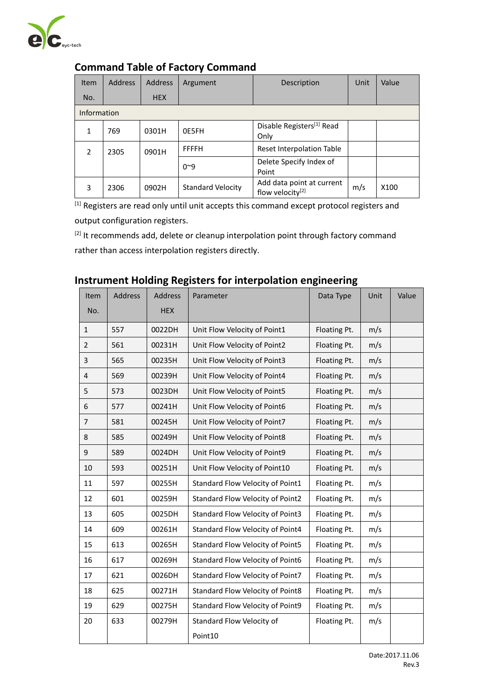

| <b>Item</b>        | <b>Address</b> | <b>Address</b> | Argument                 | Description                                               | Unit | Value |
|--------------------|----------------|----------------|--------------------------|-----------------------------------------------------------|------|-------|
| No.                |                | <b>HEX</b>     |                          |                                                           |      |       |
| <b>Information</b> |                |                |                          |                                                           |      |       |
| 1                  | 769            | 0301H          | <b>OE5FH</b>             | Disable Registers <sup>[1]</sup> Read<br>Only             |      |       |
| $\overline{2}$     | 2305           | 0901H          | <b>FFFFH</b>             | Reset Interpolation Table                                 |      |       |
|                    |                |                | $0^{\sim}9$              | Delete Specify Index of<br>Point                          |      |       |
| 3                  | 2306           | 0902H          | <b>Standard Velocity</b> | Add data point at current<br>flow velocity <sup>[2]</sup> | m/s  | X100  |

## **Command Table of Factory Command**

[1] Registers are read only until unit accepts this command except protocol registers and output configuration registers.

<sup>[2]</sup> It recommends add, delete or cleanup interpolation point through factory command rather than access interpolation registers directly.

## **Instrument Holding Registers for interpolation engineering**

| Item<br>No.    | <b>Address</b> | Address<br><b>HEX</b> | Parameter                        | Data Type    | Unit | Value |
|----------------|----------------|-----------------------|----------------------------------|--------------|------|-------|
|                |                |                       |                                  |              |      |       |
| $\mathbf{1}$   | 557            | 0022DH                | Unit Flow Velocity of Point1     | Floating Pt. | m/s  |       |
| $\overline{2}$ | 561            | 00231H                | Unit Flow Velocity of Point2     | Floating Pt. | m/s  |       |
| 3              | 565            | 00235H                | Unit Flow Velocity of Point3     | Floating Pt. | m/s  |       |
| 4              | 569            | 00239H                | Unit Flow Velocity of Point4     | Floating Pt. | m/s  |       |
| 5              | 573            | 0023DH                | Unit Flow Velocity of Point5     | Floating Pt. | m/s  |       |
| 6              | 577            | 00241H                | Unit Flow Velocity of Point6     | Floating Pt. | m/s  |       |
| $\overline{7}$ | 581            | 00245H                | Unit Flow Velocity of Point7     | Floating Pt. | m/s  |       |
| 8              | 585            | 00249H                | Unit Flow Velocity of Point8     | Floating Pt. | m/s  |       |
| 9              | 589            | 0024DH                | Unit Flow Velocity of Point9     | Floating Pt. | m/s  |       |
| 10             | 593            | 00251H                | Unit Flow Velocity of Point10    | Floating Pt. | m/s  |       |
| 11             | 597            | 00255H                | Standard Flow Velocity of Point1 | Floating Pt. | m/s  |       |
| 12             | 601            | 00259H                | Standard Flow Velocity of Point2 | Floating Pt. | m/s  |       |
| 13             | 605            | 0025DH                | Standard Flow Velocity of Point3 | Floating Pt. | m/s  |       |
| 14             | 609            | 00261H                | Standard Flow Velocity of Point4 | Floating Pt. | m/s  |       |
| 15             | 613            | 00265H                | Standard Flow Velocity of Point5 | Floating Pt. | m/s  |       |
| 16             | 617            | 00269H                | Standard Flow Velocity of Point6 | Floating Pt. | m/s  |       |
| 17             | 621            | 0026DH                | Standard Flow Velocity of Point7 | Floating Pt. | m/s  |       |
| 18             | 625            | 00271H                | Standard Flow Velocity of Point8 | Floating Pt. | m/s  |       |
| 19             | 629            | 00275H                | Standard Flow Velocity of Point9 | Floating Pt. | m/s  |       |
| 20             | 633            | 00279H                | Standard Flow Velocity of        | Floating Pt. | m/s  |       |
|                |                |                       | Point10                          |              |      |       |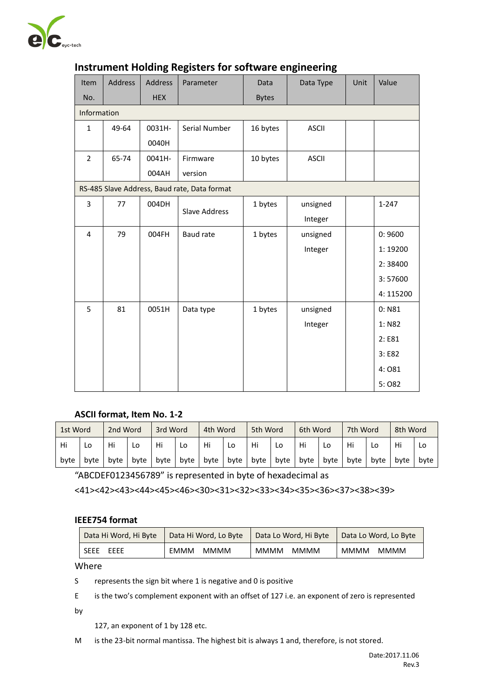

| Item           | Address | Address    | Parameter                                    | Data         | Data Type    | Unit | Value     |
|----------------|---------|------------|----------------------------------------------|--------------|--------------|------|-----------|
| No.            |         | <b>HEX</b> |                                              | <b>Bytes</b> |              |      |           |
| Information    |         |            |                                              |              |              |      |           |
| $\mathbf{1}$   | 49-64   | 0031H-     | Serial Number                                | 16 bytes     | <b>ASCII</b> |      |           |
|                |         | 0040H      |                                              |              |              |      |           |
| $\overline{2}$ | 65-74   | 0041H-     | Firmware                                     | 10 bytes     | <b>ASCII</b> |      |           |
|                |         | 004AH      | version                                      |              |              |      |           |
|                |         |            | RS-485 Slave Address, Baud rate, Data format |              |              |      |           |
| 3              | 77      | 004DH      | <b>Slave Address</b>                         | 1 bytes      | unsigned     |      | $1 - 247$ |
|                |         |            |                                              |              | Integer      |      |           |
| $\pmb{4}$      | 79      | 004FH      | <b>Baud rate</b>                             | 1 bytes      | unsigned     |      | 0:9600    |
|                |         |            |                                              |              | Integer      |      | 1:19200   |
|                |         |            |                                              |              |              |      | 2:38400   |
|                |         |            |                                              |              |              |      | 3:57600   |
|                |         |            |                                              |              |              |      | 4:115200  |
| 5              | 81      | 0051H      | Data type                                    | 1 bytes      | unsigned     |      | 0: N81    |
|                |         |            |                                              |              | Integer      |      | 1: N82    |
|                |         |            |                                              |              |              |      | 2: E81    |
|                |         |            |                                              |              |              |      | 3: E82    |
|                |         |            |                                              |              |              |      | 4:081     |
|                |         |            |                                              |              |              |      | 5:082     |

#### **Instrument Holding Registers for software engineering**

#### **ASCII format, Item No. 1-2**

| 1st Word |      | 2nd Word |      | 3rd Word |      | 4th Word |      | 5th Word |      | 6th Word |      | 7th Word |      | 8th Word |      |
|----------|------|----------|------|----------|------|----------|------|----------|------|----------|------|----------|------|----------|------|
| Hi       | L٥   | Hi       | Lo   | Hi       | Lo   | Hi       | Lo   | Hi       | Lo   | Hi       | LO   | Hi       | Lo   | Hi       | Lo   |
| byte     | byte | byte     | byte | byte     | byte | byte     | byte | byte     | byte | byte     | byte | byte     | byte | byte     | byte |

"ABCDEF0123456789" is represented in byte of hexadecimal as

<41><42><43><44><45><46><30><31><32><33><34><35><36><37><38><39>

#### **IEEE754 format**

| Data Hi Word, Hi Byte | Data Hi Word, Lo Byte   Data Lo Word, Hi Byte |             | Data Lo Word, Lo Byte |  |  |
|-----------------------|-----------------------------------------------|-------------|-----------------------|--|--|
| <b>SEEE</b>           | <b>EMMM</b>                                   | <b>MMMM</b> | MMMM                  |  |  |
| <b>FFFF</b>           | <b>MMMM</b>                                   | <b>MMMM</b> | MMMM                  |  |  |

Where

S represents the sign bit where 1 is negative and 0 is positive

E is the two's complement exponent with an offset of 127 i.e. an exponent of zero is represented

by

127, an exponent of 1 by 128 etc.

M is the 23-bit normal mantissa. The highest bit is always 1 and, therefore, is not stored.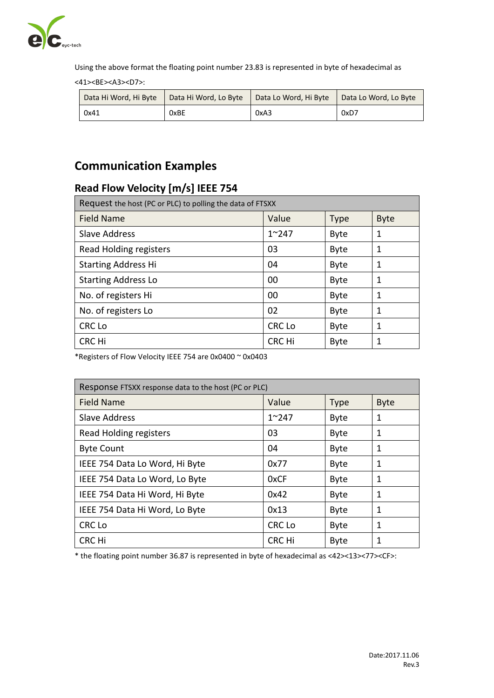

Using the above format the floating point number 23.83 is represented in byte of hexadecimal as

<41><BE><A3><D7>:

| Data Hi Word, Hi Byte | Data Hi Word, Lo Byte | Data Lo Word, Hi Byte | Data Lo Word, Lo Byte |
|-----------------------|-----------------------|-----------------------|-----------------------|
| 0x41                  | 0xBE                  | 0xA3                  | 0xD7                  |

# **Communication Examples**

# **Read Flow Velocity [m/s] IEEE 754**

| Request the host (PC or PLC) to polling the data of FTSXX |               |             |             |
|-----------------------------------------------------------|---------------|-------------|-------------|
| <b>Field Name</b>                                         | Value         | <b>Type</b> | <b>Byte</b> |
| Slave Address                                             | $1^{\sim}247$ | <b>Byte</b> | 1           |
| Read Holding registers                                    | 03            | <b>Byte</b> | 1           |
| <b>Starting Address Hi</b>                                | 04            | <b>Byte</b> | 1           |
| <b>Starting Address Lo</b>                                | 00            | <b>Byte</b> | 1           |
| No. of registers Hi                                       | 00            | <b>Byte</b> | 1           |
| No. of registers Lo                                       | 02            | <b>Byte</b> | 1           |
| <b>CRC Lo</b>                                             | <b>CRC Lo</b> | <b>Byte</b> | 1           |
| CRC Hi                                                    | CRC Hi        | <b>Byte</b> |             |

\*Registers of Flow Velocity IEEE 754 are 0x0400 ~ 0x0403

| Response FTSXX response data to the host (PC or PLC) |               |             |             |
|------------------------------------------------------|---------------|-------------|-------------|
| <b>Field Name</b>                                    | Value         | <b>Type</b> | <b>Byte</b> |
| <b>Slave Address</b>                                 | $1^{\sim}247$ | <b>Byte</b> | 1           |
| Read Holding registers                               | 03            | <b>Byte</b> | 1           |
| <b>Byte Count</b>                                    | 04            | <b>Byte</b> | 1           |
| IEEE 754 Data Lo Word, Hi Byte                       | 0x77          | <b>Byte</b> | 1           |
| IEEE 754 Data Lo Word, Lo Byte                       | 0xCF          | <b>Byte</b> | 1           |
| IEEE 754 Data Hi Word, Hi Byte                       | 0x42          | <b>Byte</b> | 1           |
| IEEE 754 Data Hi Word, Lo Byte                       | 0x13          | <b>Byte</b> | 1           |
| CRC Lo                                               | <b>CRC Lo</b> | <b>Byte</b> | 1           |
| <b>CRC Hi</b>                                        | <b>CRC Hi</b> | <b>Byte</b> | 1           |

\* the floating point number 36.87 is represented in byte of hexadecimal as <42><13><77><CF>: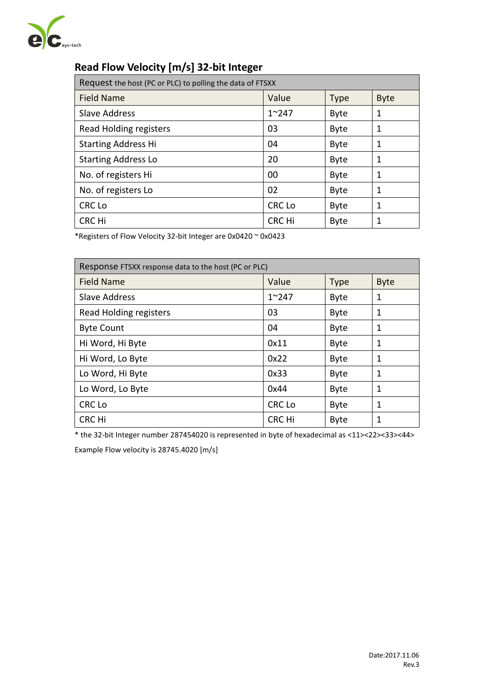

# **Read Flow Velocity [m/s] 32-bit Integer**

| Request the host (PC or PLC) to polling the data of FTSXX |               |             |             |
|-----------------------------------------------------------|---------------|-------------|-------------|
| <b>Field Name</b>                                         | Value         | <b>Type</b> | <b>Byte</b> |
| <b>Slave Address</b>                                      | $1^{\sim}247$ | <b>Byte</b> | 1           |
| Read Holding registers                                    | 03            | <b>Byte</b> | 1           |
| <b>Starting Address Hi</b>                                | 04            | <b>Byte</b> | 1           |
| <b>Starting Address Lo</b>                                | 20            | <b>Byte</b> | 1           |
| No. of registers Hi                                       | 00            | <b>Byte</b> | 1           |
| No. of registers Lo                                       | 02            | <b>Byte</b> | 1           |
| <b>CRC Lo</b>                                             | <b>CRC Lo</b> | <b>Byte</b> | 1           |
| CRC Hi                                                    | CRC Hi        | <b>Byte</b> |             |

\*Registers of Flow Velocity 32-bit Integer are 0x0420 ~ 0x0423

| Response FTSXX response data to the host (PC or PLC) |               |             |             |
|------------------------------------------------------|---------------|-------------|-------------|
| <b>Field Name</b>                                    | Value         | <b>Type</b> | <b>Byte</b> |
| <b>Slave Address</b>                                 | $1^{\sim}247$ | <b>Byte</b> | 1           |
| Read Holding registers                               | 03            | <b>Byte</b> | 1           |
| <b>Byte Count</b>                                    | 04            | <b>Byte</b> | 1           |
| Hi Word, Hi Byte                                     | 0x11          | <b>Byte</b> | 1           |
| Hi Word, Lo Byte                                     | 0x22          | <b>Byte</b> | 1           |
| Lo Word, Hi Byte                                     | 0x33          | <b>Byte</b> | 1           |
| Lo Word, Lo Byte                                     | 0x44          | <b>Byte</b> | 1           |
| <b>CRC Lo</b>                                        | CRC Lo        | <b>Byte</b> | 1           |
| <b>CRC Hi</b>                                        | <b>CRC Hi</b> | <b>Byte</b> | 1           |

\* the 32-bit Integer number 287454020 is represented in byte of hexadecimal as <11><22><33><44>

Example Flow velocity is 28745.4020 [m/s]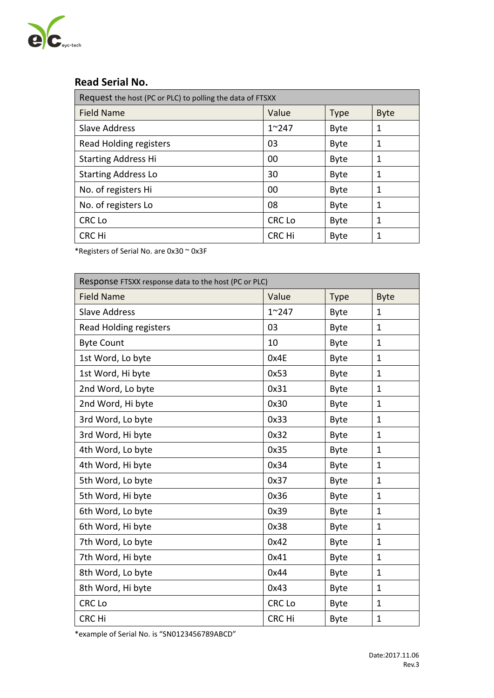

### **Read Serial No.**

| Request the host (PC or PLC) to polling the data of FTSXX |               |             |             |
|-----------------------------------------------------------|---------------|-------------|-------------|
| <b>Field Name</b>                                         | Value         | <b>Type</b> | <b>Byte</b> |
| <b>Slave Address</b>                                      | $1^{\sim}247$ | <b>Byte</b> | 1           |
| Read Holding registers                                    | 03            | <b>Byte</b> | 1           |
| <b>Starting Address Hi</b>                                | 00            | <b>Byte</b> | 1           |
| <b>Starting Address Lo</b>                                | 30            | <b>Byte</b> | 1           |
| No. of registers Hi                                       | 00            | <b>Byte</b> | 1           |
| No. of registers Lo                                       | 08            | <b>Byte</b> | 1           |
| <b>CRC Lo</b>                                             | <b>CRC Lo</b> | <b>Byte</b> | 1           |
| CRC Hi                                                    | <b>CRC Hi</b> | <b>Byte</b> |             |

\*Registers of Serial No. are 0x30 ~ 0x3F

| Response FTSXX response data to the host (PC or PLC) |               |             |              |
|------------------------------------------------------|---------------|-------------|--------------|
| <b>Field Name</b>                                    | Value         | <b>Type</b> | <b>Byte</b>  |
| <b>Slave Address</b>                                 | $1^{\sim}247$ | <b>Byte</b> | 1            |
| <b>Read Holding registers</b>                        | 03            | <b>Byte</b> | $\mathbf{1}$ |
| <b>Byte Count</b>                                    | 10            | <b>Byte</b> | $\mathbf{1}$ |
| 1st Word, Lo byte                                    | 0x4E          | Byte        | $\mathbf{1}$ |
| 1st Word, Hi byte                                    | 0x53          | <b>Byte</b> | $\mathbf{1}$ |
| 2nd Word, Lo byte                                    | 0x31          | <b>Byte</b> | $\mathbf{1}$ |
| 2nd Word, Hi byte                                    | 0x30          | <b>Byte</b> | $\mathbf 1$  |
| 3rd Word, Lo byte                                    | 0x33          | <b>Byte</b> | $\mathbf{1}$ |
| 3rd Word, Hi byte                                    | 0x32          | <b>Byte</b> | $\mathbf{1}$ |
| 4th Word, Lo byte                                    | 0x35          | <b>Byte</b> | $\mathbf{1}$ |
| 4th Word, Hi byte                                    | 0x34          | <b>Byte</b> | 1            |
| 5th Word, Lo byte                                    | 0x37          | <b>Byte</b> | $\mathbf{1}$ |
| 5th Word, Hi byte                                    | 0x36          | <b>Byte</b> | $\mathbf{1}$ |
| 6th Word, Lo byte                                    | 0x39          | <b>Byte</b> | $\mathbf{1}$ |
| 6th Word, Hi byte                                    | 0x38          | <b>Byte</b> | $\mathbf{1}$ |
| 7th Word, Lo byte                                    | 0x42          | <b>Byte</b> | $\mathbf 1$  |
| 7th Word, Hi byte                                    | 0x41          | <b>Byte</b> | $\mathbf{1}$ |
| 8th Word, Lo byte                                    | 0x44          | <b>Byte</b> | $\mathbf{1}$ |
| 8th Word, Hi byte                                    | 0x43          | <b>Byte</b> | $\mathbf 1$  |
| <b>CRC Lo</b>                                        | <b>CRC Lo</b> | <b>Byte</b> | $\mathbf{1}$ |
| <b>CRC Hi</b>                                        | CRC Hi        | <b>Byte</b> | $\mathbf{1}$ |

\*example of Serial No. is "SN0123456789ABCD"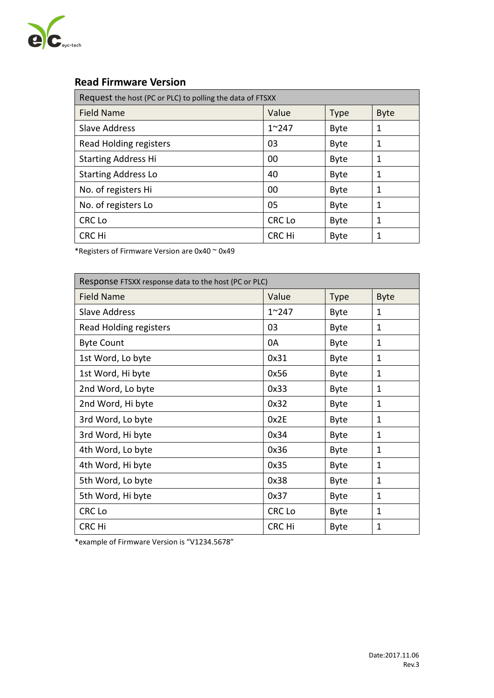

# **Read Firmware Version**

| Request the host (PC or PLC) to polling the data of FTSXX |               |             |             |
|-----------------------------------------------------------|---------------|-------------|-------------|
| <b>Field Name</b>                                         | Value         | <b>Type</b> | <b>Byte</b> |
| <b>Slave Address</b>                                      | $1^{\sim}247$ | <b>Byte</b> | 1           |
| Read Holding registers                                    | 03            | <b>Byte</b> | 1           |
| <b>Starting Address Hi</b>                                | 00            | <b>Byte</b> | 1           |
| <b>Starting Address Lo</b>                                | 40            | <b>Byte</b> | 1           |
| No. of registers Hi                                       | 00            | <b>Byte</b> | 1           |
| No. of registers Lo                                       | 05            | <b>Byte</b> | 1           |
| CRC Lo                                                    | <b>CRC Lo</b> | <b>Byte</b> | 1           |
| CRC Hi                                                    | CRC Hi        | <b>Byte</b> |             |

\*Registers of Firmware Version are 0x40 ~ 0x49

| Response FTSXX response data to the host (PC or PLC) |               |             |              |
|------------------------------------------------------|---------------|-------------|--------------|
| <b>Field Name</b>                                    | Value         | <b>Type</b> | <b>Byte</b>  |
| <b>Slave Address</b>                                 | $1^{\sim}247$ | <b>Byte</b> | 1            |
| Read Holding registers                               | 03            | <b>Byte</b> | 1            |
| <b>Byte Count</b>                                    | 0A            | <b>Byte</b> | 1            |
| 1st Word, Lo byte                                    | 0x31          | <b>Byte</b> | 1            |
| 1st Word, Hi byte                                    | 0x56          | <b>Byte</b> | 1            |
| 2nd Word, Lo byte                                    | 0x33          | <b>Byte</b> | 1            |
| 2nd Word, Hi byte                                    | 0x32          | <b>Byte</b> | 1            |
| 3rd Word, Lo byte                                    | 0x2E          | <b>Byte</b> | $\mathbf{1}$ |
| 3rd Word, Hi byte                                    | 0x34          | <b>Byte</b> | 1            |
| 4th Word, Lo byte                                    | 0x36          | <b>Byte</b> | 1            |
| 4th Word, Hi byte                                    | 0x35          | <b>Byte</b> | 1            |
| 5th Word, Lo byte                                    | 0x38          | <b>Byte</b> | 1            |
| 5th Word, Hi byte                                    | 0x37          | <b>Byte</b> | 1            |
| CRC Lo                                               | CRC Lo        | <b>Byte</b> | 1            |
| CRC Hi                                               | CRC Hi        | <b>Byte</b> | $\mathbf{1}$ |

\*example of Firmware Version is "V1234.5678"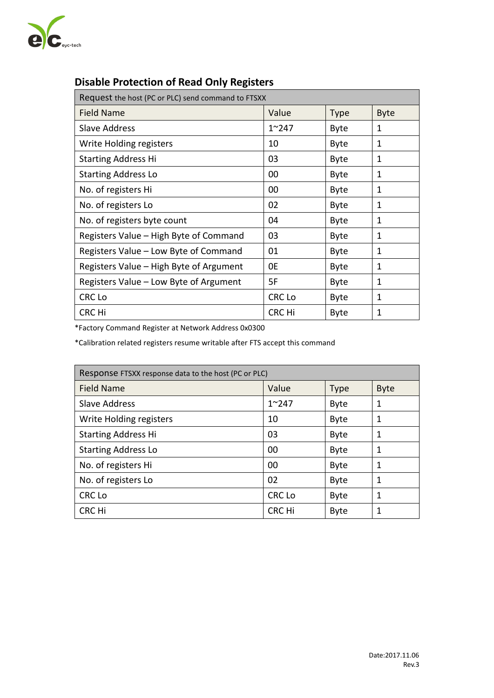

# **Disable Protection of Read Only Registers**

| Request the host (PC or PLC) send command to FTSXX |               |             |             |
|----------------------------------------------------|---------------|-------------|-------------|
| <b>Field Name</b>                                  | Value         | <b>Type</b> | <b>Byte</b> |
| <b>Slave Address</b>                               | $1^{\sim}247$ | <b>Byte</b> | 1           |
| Write Holding registers                            | 10            | <b>Byte</b> | 1           |
| <b>Starting Address Hi</b>                         | 03            | <b>Byte</b> | 1           |
| <b>Starting Address Lo</b>                         | 00            | <b>Byte</b> | 1           |
| No. of registers Hi                                | 00            | <b>Byte</b> | 1           |
| No. of registers Lo                                | 02            | <b>Byte</b> | 1           |
| No. of registers byte count                        | 04            | <b>Byte</b> | 1           |
| Registers Value - High Byte of Command             | 03            | <b>Byte</b> | 1           |
| Registers Value – Low Byte of Command              | 01            | <b>Byte</b> | 1           |
| Registers Value – High Byte of Argument            | 0E            | <b>Byte</b> | 1           |
| Registers Value - Low Byte of Argument             | 5F            | <b>Byte</b> | 1           |
| <b>CRC Lo</b>                                      | CRC Lo        | <b>Byte</b> | 1           |
| <b>CRC Hi</b>                                      | <b>CRC Hi</b> | <b>Byte</b> | 1           |

\*Factory Command Register at Network Address 0x0300

\*Calibration related registers resume writable after FTS accept this command

| Response FTSXX response data to the host (PC or PLC) |               |             |             |
|------------------------------------------------------|---------------|-------------|-------------|
| <b>Field Name</b>                                    | Value         | <b>Type</b> | <b>Byte</b> |
| <b>Slave Address</b>                                 | $1^{\sim}247$ | <b>Byte</b> | 1           |
| Write Holding registers                              | 10            | <b>Byte</b> | 1           |
| <b>Starting Address Hi</b>                           | 03            | <b>Byte</b> | 1           |
| <b>Starting Address Lo</b>                           | 00            | <b>Byte</b> | 1           |
| No. of registers Hi                                  | 00            | <b>Byte</b> | 1           |
| No. of registers Lo                                  | 02            | <b>Byte</b> | 1           |
| CRC Lo                                               | <b>CRC Lo</b> | <b>Byte</b> | 1           |
| <b>CRC Hi</b>                                        | <b>CRC Hi</b> | <b>Byte</b> |             |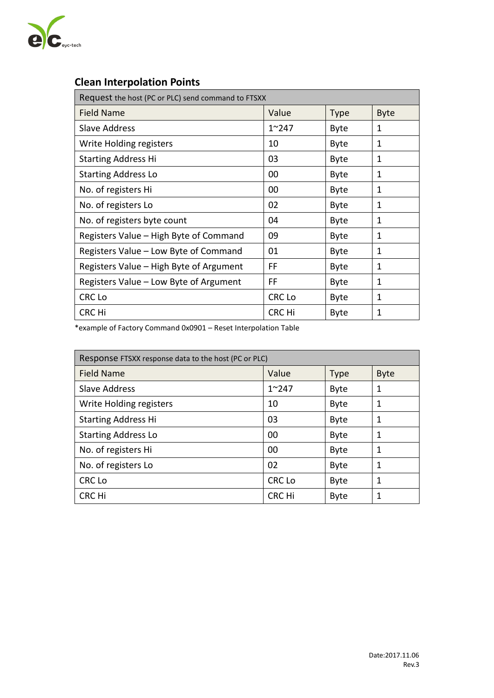

# **Clean Interpolation Points**

| Request the host (PC or PLC) send command to FTSXX |               |             |             |
|----------------------------------------------------|---------------|-------------|-------------|
| <b>Field Name</b>                                  | Value         | <b>Type</b> | <b>Byte</b> |
| Slave Address                                      | $1^{\sim}247$ | <b>Byte</b> | 1           |
| Write Holding registers                            | 10            | <b>Byte</b> | 1           |
| <b>Starting Address Hi</b>                         | 03            | <b>Byte</b> | 1           |
| <b>Starting Address Lo</b>                         | 00            | <b>Byte</b> | 1           |
| No. of registers Hi                                | 00            | <b>Byte</b> | 1           |
| No. of registers Lo                                | 02            | <b>Byte</b> | 1           |
| No. of registers byte count                        | 04            | <b>Byte</b> | 1           |
| Registers Value - High Byte of Command             | 09            | <b>Byte</b> | 1           |
| Registers Value - Low Byte of Command              | 01            | <b>Byte</b> | 1           |
| Registers Value - High Byte of Argument            | FF            | <b>Byte</b> | 1           |
| Registers Value - Low Byte of Argument             | FF            | <b>Byte</b> | 1           |
| <b>CRC Lo</b>                                      | <b>CRC Lo</b> | <b>Byte</b> | 1           |
| <b>CRC Hi</b>                                      | <b>CRC Hi</b> | <b>Byte</b> | 1           |

\*example of Factory Command 0x0901 – Reset Interpolation Table

| Response FTSXX response data to the host (PC or PLC) |               |             |             |
|------------------------------------------------------|---------------|-------------|-------------|
| <b>Field Name</b>                                    | Value         | <b>Type</b> | <b>Byte</b> |
| <b>Slave Address</b>                                 | $1^{\sim}247$ | <b>Byte</b> | 1           |
| Write Holding registers                              | 10            | <b>Byte</b> | 1           |
| <b>Starting Address Hi</b>                           | 03            | <b>Byte</b> | 1           |
| <b>Starting Address Lo</b>                           | 00            | <b>Byte</b> | 1           |
| No. of registers Hi                                  | 00            | <b>Byte</b> | 1           |
| No. of registers Lo                                  | 02            | <b>Byte</b> | 1           |
| CRC Lo                                               | <b>CRC Lo</b> | <b>Byte</b> | 1           |
| CRC Hi                                               | CRC Hi        | <b>Byte</b> | 1           |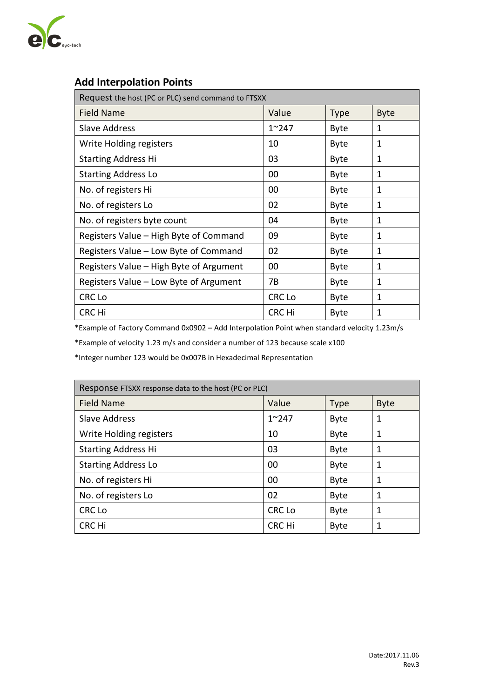

# **Add Interpolation Points**

| Request the host (PC or PLC) send command to FTSXX |               |             |             |
|----------------------------------------------------|---------------|-------------|-------------|
| <b>Field Name</b>                                  | Value         | <b>Type</b> | <b>Byte</b> |
| <b>Slave Address</b>                               | $1^{\sim}247$ | <b>Byte</b> | 1           |
| Write Holding registers                            | 10            | <b>Byte</b> | 1           |
| <b>Starting Address Hi</b>                         | 03            | <b>Byte</b> | 1           |
| <b>Starting Address Lo</b>                         | 00            | <b>Byte</b> | 1           |
| No. of registers Hi                                | 00            | <b>Byte</b> | 1           |
| No. of registers Lo                                | 02            | <b>Byte</b> | 1           |
| No. of registers byte count                        | 04            | <b>Byte</b> | 1           |
| Registers Value - High Byte of Command             | 09            | <b>Byte</b> | 1           |
| Registers Value - Low Byte of Command              | 02            | <b>Byte</b> | 1           |
| Registers Value - High Byte of Argument            | 00            | <b>Byte</b> | 1           |
| Registers Value - Low Byte of Argument             | 7B            | <b>Byte</b> | 1           |
| CRC Lo                                             | CRC Lo        | <b>Byte</b> | 1           |
| CRC Hi                                             | <b>CRC Hi</b> | <b>Byte</b> | 1           |

\*Example of Factory Command 0x0902 – Add Interpolation Point when standard velocity 1.23m/s

\*Example of velocity 1.23 m/s and consider a number of 123 because scale x100

\*Integer number 123 would be 0x007B in Hexadecimal Representation

| Response FTSXX response data to the host (PC or PLC) |               |             |             |
|------------------------------------------------------|---------------|-------------|-------------|
| <b>Field Name</b>                                    | Value         | <b>Type</b> | <b>Byte</b> |
| <b>Slave Address</b>                                 | $1^{\sim}247$ | <b>Byte</b> | 1           |
| Write Holding registers                              | 10            | <b>Byte</b> | 1           |
| <b>Starting Address Hi</b>                           | 03            | <b>Byte</b> | 1           |
| <b>Starting Address Lo</b>                           | 00            | <b>Byte</b> | 1           |
| No. of registers Hi                                  | 00            | <b>Byte</b> | 1           |
| No. of registers Lo                                  | 02            | <b>Byte</b> | 1           |
| <b>CRC Lo</b>                                        | <b>CRC Lo</b> | <b>Byte</b> | 1           |
| CRC Hi                                               | <b>CRC Hi</b> | <b>Byte</b> | 1           |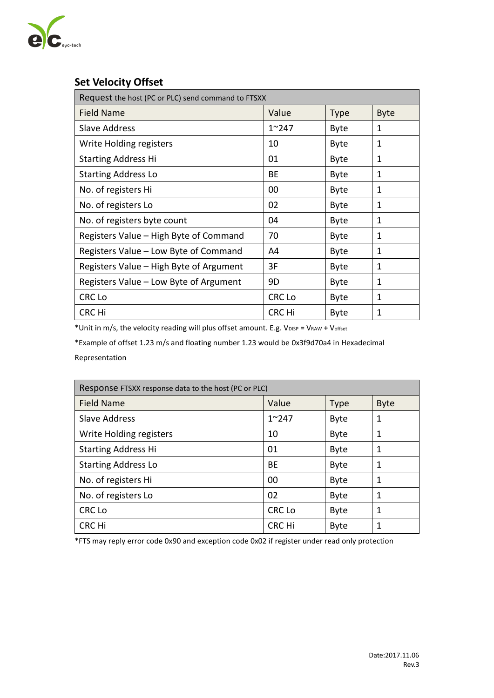

# **Set Velocity Offset**

| Request the host (PC or PLC) send command to FTSXX |               |             |             |
|----------------------------------------------------|---------------|-------------|-------------|
| <b>Field Name</b>                                  | Value         | <b>Type</b> | <b>Byte</b> |
| <b>Slave Address</b>                               | $1^{\sim}247$ | Byte        | 1           |
| Write Holding registers                            | 10            | Byte        | 1           |
| <b>Starting Address Hi</b>                         | 01            | <b>Byte</b> | 1           |
| <b>Starting Address Lo</b>                         | ВE            | <b>Byte</b> | 1           |
| No. of registers Hi                                | 00            | <b>Byte</b> | 1           |
| No. of registers Lo                                | 02            | <b>Byte</b> | 1           |
| No. of registers byte count                        | 04            | <b>Byte</b> | 1           |
| Registers Value - High Byte of Command             | 70            | Byte        | 1           |
| Registers Value – Low Byte of Command              | A4            | <b>Byte</b> | 1           |
| Registers Value - High Byte of Argument            | 3F            | <b>Byte</b> | 1           |
| Registers Value - Low Byte of Argument             | 9D            | <b>Byte</b> | 1           |
| <b>CRC Lo</b>                                      | <b>CRC Lo</b> | <b>Byte</b> | 1           |
| CRC Hi                                             | CRC Hi        | <b>Byte</b> | 1           |

\*Unit in m/s, the velocity reading will plus offset amount. E.g. V<sub>DISP</sub> = V<sub>RAW</sub> + V<sub>offset</sub>

\*Example of offset 1.23 m/s and floating number 1.23 would be 0x3f9d70a4 in Hexadecimal Representation

| Response FTSXX response data to the host (PC or PLC) |               |             |             |
|------------------------------------------------------|---------------|-------------|-------------|
| <b>Field Name</b>                                    | Value         | <b>Type</b> | <b>Byte</b> |
| <b>Slave Address</b>                                 | $1^{\sim}247$ | <b>Byte</b> | 1           |
| Write Holding registers                              | 10            | <b>Byte</b> | 1           |
| <b>Starting Address Hi</b>                           | 01            | <b>Byte</b> | 1           |
| <b>Starting Address Lo</b>                           | BE            | <b>Byte</b> | 1           |
| No. of registers Hi                                  | 00            | <b>Byte</b> | 1           |
| No. of registers Lo                                  | 02            | <b>Byte</b> | 1           |
| <b>CRC Lo</b>                                        | <b>CRC Lo</b> | <b>Byte</b> | 1           |
| CRC Hi                                               | <b>CRC Hi</b> | <b>Byte</b> |             |

\*FTS may reply error code 0x90 and exception code 0x02 if register under read only protection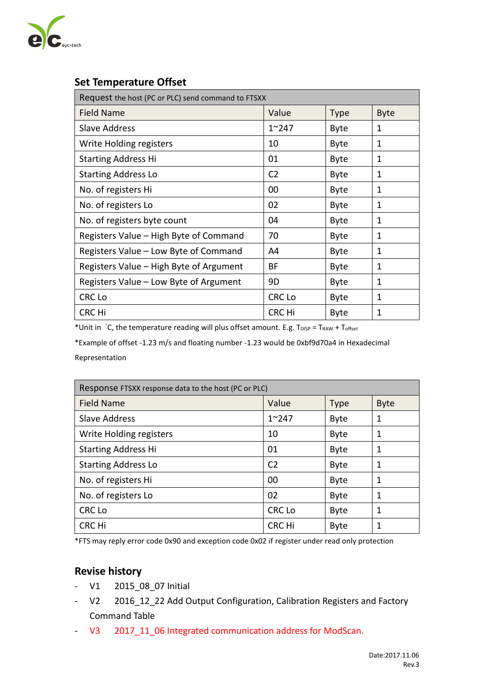

# **Set Temperature Offset**

| Request the host (PC or PLC) send command to FTSXX |                |             |             |
|----------------------------------------------------|----------------|-------------|-------------|
| <b>Field Name</b>                                  | Value          | <b>Type</b> | <b>Byte</b> |
| <b>Slave Address</b>                               | $1^{\sim}247$  | <b>Byte</b> | 1           |
| Write Holding registers                            | 10             | <b>Byte</b> | 1           |
| <b>Starting Address Hi</b>                         | 01             | <b>Byte</b> | 1           |
| <b>Starting Address Lo</b>                         | C <sub>2</sub> | <b>Byte</b> | 1           |
| No. of registers Hi                                | 00             | <b>Byte</b> | 1           |
| No. of registers Lo                                | 02             | <b>Byte</b> | 1           |
| No. of registers byte count                        | 04             | <b>Byte</b> | 1           |
| Registers Value – High Byte of Command             | 70             | <b>Byte</b> | 1           |
| Registers Value - Low Byte of Command              | A4             | <b>Byte</b> | 1           |
| Registers Value – High Byte of Argument            | BF             | <b>Byte</b> | 1           |
| Registers Value - Low Byte of Argument             | 9D             | <b>Byte</b> | 1           |
| CRC Lo                                             | CRC Lo         | <b>Byte</b> | 1           |
| CRC Hi                                             | <b>CRC Hi</b>  | <b>Byte</b> | 1           |

\*Unit in °C, the temperature reading will plus offset amount. E.g. TDISP = TRAW + Toffset

\*Example of offset -1.23 m/s and floating number -1.23 would be 0xbf9d70a4 in Hexadecimal Representation

| Response FTSXX response data to the host (PC or PLC) |                |             |             |
|------------------------------------------------------|----------------|-------------|-------------|
| <b>Field Name</b>                                    | Value          | <b>Type</b> | <b>Byte</b> |
| <b>Slave Address</b>                                 | $1^{\sim}247$  | <b>Byte</b> | 1           |
| Write Holding registers                              | 10             | <b>Byte</b> | 1           |
| <b>Starting Address Hi</b>                           | 01             | <b>Byte</b> | 1           |
| <b>Starting Address Lo</b>                           | C <sub>2</sub> | <b>Byte</b> | 1           |
| No. of registers Hi                                  | 00             | <b>Byte</b> | 1           |
| No. of registers Lo                                  | 02             | <b>Byte</b> | 1           |
| <b>CRC Lo</b>                                        | <b>CRC Lo</b>  | <b>Byte</b> | 1           |
| CRC Hi                                               | CRC Hi         | <b>Byte</b> | 1           |

\*FTS may reply error code 0x90 and exception code 0x02 if register under read only protection

#### **Revise history**

- V1 2015\_08\_07 Initial
- V2 2016\_12\_22 Add Output Configuration, Calibration Registers and Factory Command Table
- V3 2017\_11\_06 Integrated communication address for ModScan.